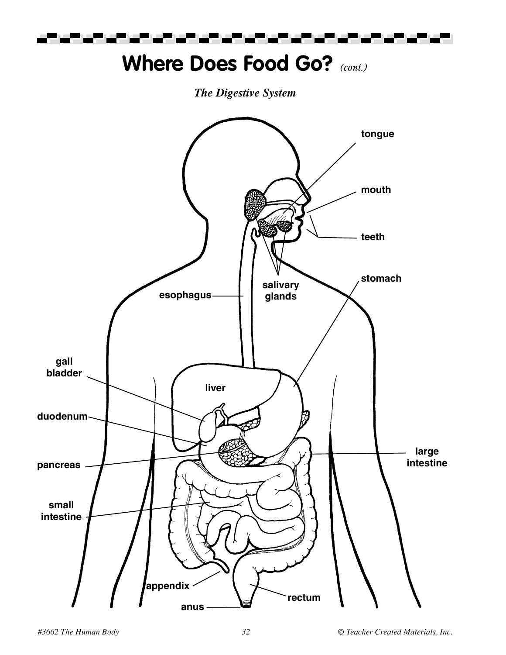